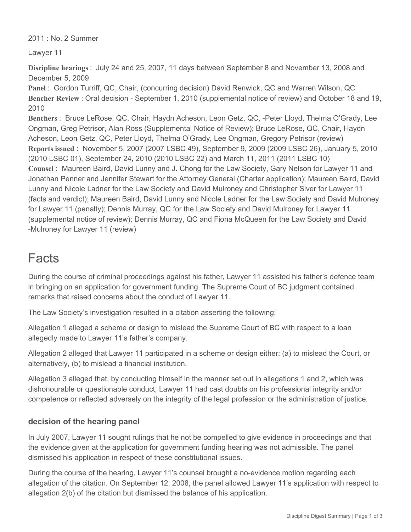2011 : No. 2 Summer

Lawyer 11

**Discipline hearings** : July 24 and 25, 2007, 11 days between September 8 and November 13, 2008 and December 5, 2009

**Panel** : Gordon Turriff, QC, Chair, (concurring decision) David Renwick, QC and Warren Wilson, QC **Bencher Review** : Oral decision - September 1, 2010 (supplemental notice of review) and October 18 and 19, 2010

**Benchers** : Bruce LeRose, QC, Chair, Haydn Acheson, Leon Getz, QC, -Peter Lloyd, Thelma O'Grady, Lee Ongman, Greg Petrisor, Alan Ross (Supplemental Notice of Review); Bruce LeRose, QC, Chair, Haydn Acheson, Leon Getz, QC, Peter Lloyd, Thelma O'Grady, Lee Ongman, Gregory Petrisor (review) **Reports issued** : November 5, 2007 (2007 LSBC 49), September 9, 2009 (2009 LSBC 26), January 5, 2010 (2010 LSBC 01), September 24, 2010 (2010 LSBC 22) and March 11, 2011 (2011 LSBC 10) **Counsel** : Maureen Baird, David Lunny and J. Chong for the Law Society, Gary Nelson for Lawyer 11 and Jonathan Penner and Jennifer Stewart for the Attorney General (Charter application); Maureen Baird, David Lunny and Nicole Ladner for the Law Society and David Mulroney and Christopher Siver for Lawyer 11 (facts and verdict); Maureen Baird, David Lunny and Nicole Ladner for the Law Society and David Mulroney for Lawyer 11 (penalty); Dennis Murray, QC for the Law Society and David Mulroney for Lawyer 11 (supplemental notice of review); Dennis Murray, QC and Fiona McQueen for the Law Society and David -Mulroney for Lawyer 11 (review)

## Facts

During the course of criminal proceedings against his father, Lawyer 11 assisted his father's defence team in bringing on an application for government funding. The Supreme Court of BC judgment contained remarks that raised concerns about the conduct of Lawyer 11.

The Law Society's investigation resulted in a citation asserting the following:

Allegation 1 alleged a scheme or design to mislead the Supreme Court of BC with respect to a loan allegedly made to Lawyer 11's father's company.

Allegation 2 alleged that Lawyer 11 participated in a scheme or design either: (a) to mislead the Court, or alternatively, (b) to mislead a financial institution.

Allegation 3 alleged that, by conducting himself in the manner set out in allegations 1 and 2, which was dishonourable or questionable conduct, Lawyer 11 had cast doubts on his professional integrity and/or competence or reflected adversely on the integrity of the legal profession or the administration of justice.

## **decision of the hearing panel**

In July 2007, Lawyer 11 sought rulings that he not be compelled to give evidence in proceedings and that the evidence given at the application for government funding hearing was not admissible. The panel dismissed his application in respect of these constitutional issues.

During the course of the hearing, Lawyer 11's counsel brought a no-evidence motion regarding each allegation of the citation. On September 12, 2008, the panel allowed Lawyer 11's application with respect to allegation 2(b) of the citation but dismissed the balance of his application.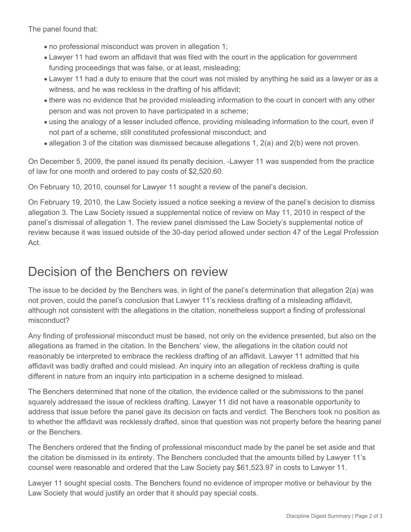The panel found that:

- no professional misconduct was proven in allegation 1;
- Lawyer 11 had sworn an affidavit that was filed with the court in the application for government funding proceedings that was false, or at least, misleading;
- Lawyer 11 had a duty to ensure that the court was not misled by anything he said as a lawyer or as a witness, and he was reckless in the drafting of his affidavit;
- there was no evidence that he provided misleading information to the court in concert with any other person and was not proven to have participated in a scheme;
- using the analogy of a lesser included offence, providing misleading information to the court, even if not part of a scheme, still constituted professional misconduct; and
- allegation 3 of the citation was dismissed because allegations 1, 2(a) and 2(b) were not proven.

On December 5, 2009, the panel issued its penalty decision. -Lawyer 11 was suspended from the practice of law for one month and ordered to pay costs of \$2,520.60.

On February 10, 2010, counsel for Lawyer 11 sought a review of the panel's decision.

On February 19, 2010, the Law Society issued a notice seeking a review of the panel's decision to dismiss allegation 3. The Law Society issued a supplemental notice of review on May 11, 2010 in respect of the panel's dismissal of allegation 1. The review panel dismissed the Law Society's supplemental notice of review because it was issued outside of the 30-day period allowed under section 47 of the Legal Profession Act.

## Decision of the Benchers on review

The issue to be decided by the Benchers was, in light of the panel's determination that allegation 2(a) was not proven, could the panel's conclusion that Lawyer 11's reckless drafting of a misleading affidavit, although not consistent with the allegations in the citation, nonetheless support a finding of professional misconduct?

Any finding of professional misconduct must be based, not only on the evidence presented, but also on the allegations as framed in the citation. In the Benchers' view, the allegations in the citation could not reasonably be interpreted to embrace the reckless drafting of an affidavit. Lawyer 11 admitted that his affidavit was badly drafted and could mislead. An inquiry into an allegation of reckless drafting is quite different in nature from an inquiry into participation in a scheme designed to mislead.

The Benchers determined that none of the citation, the evidence called or the submissions to the panel squarely addressed the issue of reckless drafting. Lawyer 11 did not have a reasonable opportunity to address that issue before the panel gave its decision on facts and verdict. The Benchers took no position as to whether the affidavit was recklessly drafted, since that question was not properly before the hearing panel or the Benchers.

The Benchers ordered that the finding of professional misconduct made by the panel be set aside and that the citation be dismissed in its entirety. The Benchers concluded that the amounts billed by Lawyer 11's counsel were reasonable and ordered that the Law Society pay \$61,523.97 in costs to Lawyer 11.

Lawyer 11 sought special costs. The Benchers found no evidence of improper motive or behaviour by the Law Society that would justify an order that it should pay special costs.